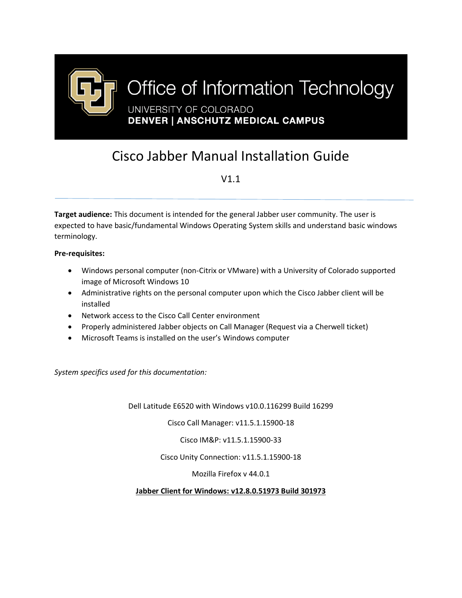

# Cisco Jabber Manual Installation Guide

V1.1

**Target audience:** This document is intended for the general Jabber user community. The user is expected to have basic/fundamental Windows Operating System skills and understand basic windows terminology.

## **Pre-requisites:**

- Windows personal computer (non-Citrix or VMware) with a University of Colorado supported image of Microsoft Windows 10
- Administrative rights on the personal computer upon which the Cisco Jabber client will be installed
- Network access to the Cisco Call Center environment
- Properly administered Jabber objects on Call Manager (Request via a Cherwell ticket)
- Microsoft Teams is installed on the user's Windows computer

*System specifics used for this documentation:*

Dell Latitude E6520 with Windows v10.0.116299 Build 16299

Cisco Call Manager: v11.5.1.15900-18

Cisco IM&P: v11.5.1.15900-33

Cisco Unity Connection: v11.5.1.15900-18

Mozilla Firefox v 44.0.1

**Jabber Client for Windows: v12.8.0.51973 Build 301973**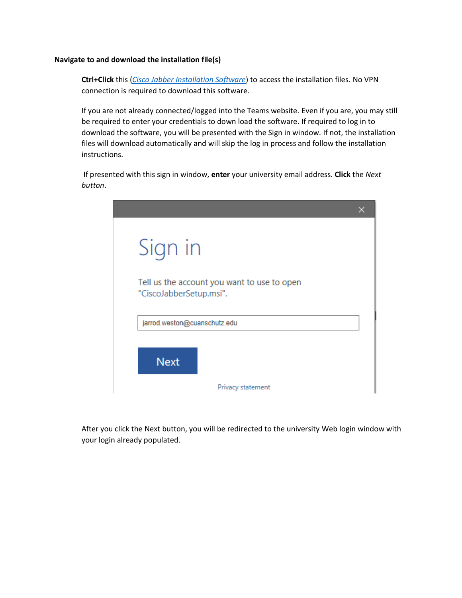### **Navigate to and download the installation file(s)**

**Ctrl+Click** this (*[Cisco Jabber Installation Software](https://olucdenver.sharepoint.com/sites/CUTechnologyTeam/Shared%20Documents/General/Jabber%20files/CiscoJabberSetup.msi)*) to access the installation files. No VPN connection is required to download this software.

If you are not already connected/logged into the Teams website. Even if you are, you may still be required to enter your credentials to down load the software. If required to log in to download the software, you will be presented with the Sign in window. If not, the installation files will download automatically and will skip the log in process and follow the installation instructions.

If presented with this sign in window, **enter** your university email address. **Click** the *Next button*.

| Sign in                                                                |  |
|------------------------------------------------------------------------|--|
| Tell us the account you want to use to open<br>"CiscoJabberSetup.msi". |  |
| jarrod.weston@cuanschutz.edu                                           |  |
| <b>Next</b>                                                            |  |
| Privacy statement                                                      |  |

After you click the Next button, you will be redirected to the university Web login window with your login already populated.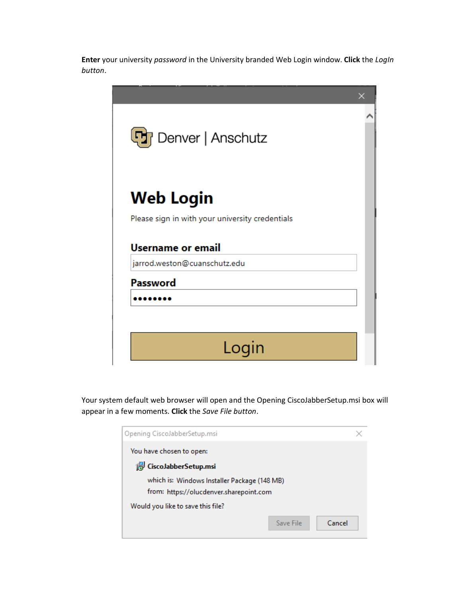**Enter** your university *password* in the University branded Web Login window. **Click** the *LogIn button*.

| <b>The Denver   Anschutz</b>                    |  |
|-------------------------------------------------|--|
|                                                 |  |
|                                                 |  |
| Web Login                                       |  |
|                                                 |  |
|                                                 |  |
| Please sign in with your university credentials |  |
| <b>Username or email</b>                        |  |
| jarrod.weston@cuanschutz.edu                    |  |
| Password                                        |  |
|                                                 |  |
|                                                 |  |
| Lo                                              |  |

Your system default web browser will open and the Opening CiscoJabberSetup.msi box will appear in a few moments. **Click** the *Save File button*.

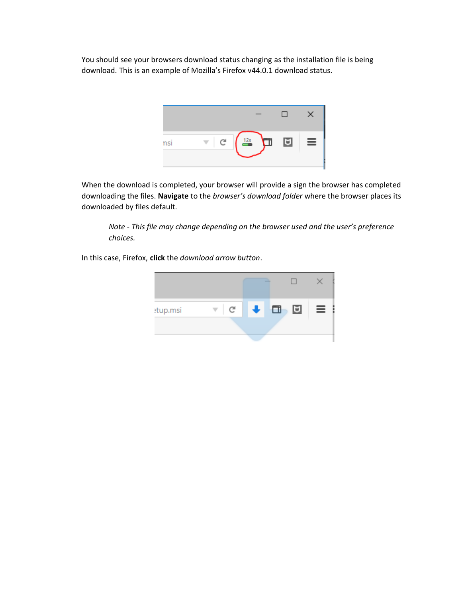You should see your browsers download status changing as the installation file is being download. This is an example of Mozilla's Firefox v44.0.1 download status.



When the download is completed, your browser will provide a sign the browser has completed downloading the files. **Navigate** to the *browser's download folder* where the browser places its downloaded by files default.

*Note - This file may change depending on the browser used and the user's preference choices.*

In this case, Firefox, **click** the *download arrow button*.

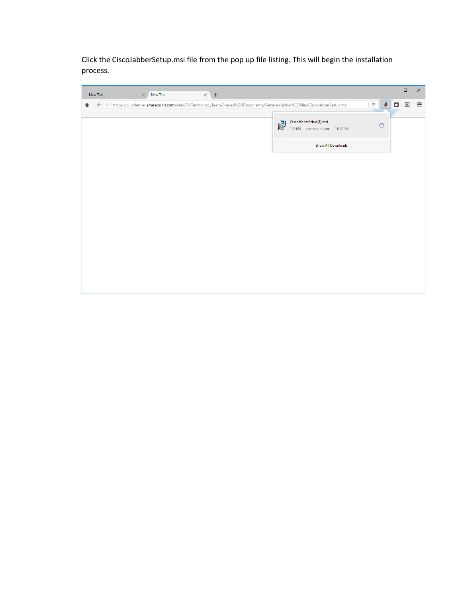Click the CiscoJabberSetup.msi file from the pop up file listing. This will begin the installation process.

| New Tab | New Tab<br>$\times$ | $\times$ \<br>$\ddot{}$ |                                                                                                                                            |                               |        | $\Box$ | $\times$ |
|---------|---------------------|-------------------------|--------------------------------------------------------------------------------------------------------------------------------------------|-------------------------------|--------|--------|----------|
| 合       |                     |                         | $(\Leftarrow)$ and https://olucdenver.sharepoint.com/sites/CUTechnologyTeam/Shared%20Documents/General/Jabber%20files/CiscoJabberSetup.msi | $C^i$<br>$\ddot{\phantom{1}}$ | $\Box$ | 日      | $\equiv$ |
|         |                     |                         | CiscoJabberSetup(1).msi<br><b>R</b><br>148 MB - sharepoint.com - 11:22 AM                                                                  | $\Theta$                      |        |        |          |
|         |                     |                         | Show All Downloads                                                                                                                         |                               |        |        |          |
|         |                     |                         |                                                                                                                                            |                               |        |        |          |
|         |                     |                         |                                                                                                                                            |                               |        |        |          |
|         |                     |                         |                                                                                                                                            |                               |        |        |          |
|         |                     |                         |                                                                                                                                            |                               |        |        |          |
|         |                     |                         |                                                                                                                                            |                               |        |        |          |
|         |                     |                         |                                                                                                                                            |                               |        |        |          |
|         |                     |                         |                                                                                                                                            |                               |        |        |          |
|         |                     |                         |                                                                                                                                            |                               |        |        |          |
|         |                     |                         |                                                                                                                                            |                               |        |        |          |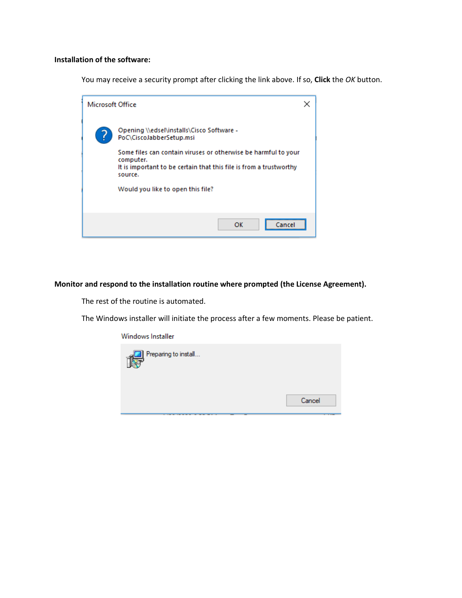## **Installation of the software:**

You may receive a security prompt after clicking the link above. If so, **Click** the *OK* button.

| Microsoft Office |                                                                                                                                                                                                                                       |  |
|------------------|---------------------------------------------------------------------------------------------------------------------------------------------------------------------------------------------------------------------------------------|--|
|                  | Opening \\edsel\installs\Cisco Software -<br>PoC\CiscoJabberSetup.msi<br>Some files can contain viruses or otherwise be harmful to your<br>computer.<br>It is important to be certain that this file is from a trustworthy<br>source. |  |
|                  | Would you like to open this file?                                                                                                                                                                                                     |  |
|                  | ок                                                                                                                                                                                                                                    |  |

#### **Monitor and respond to the installation routine where prompted (the License Agreement).**

The rest of the routine is automated.

The Windows installer will initiate the process after a few moments. Please be patient.

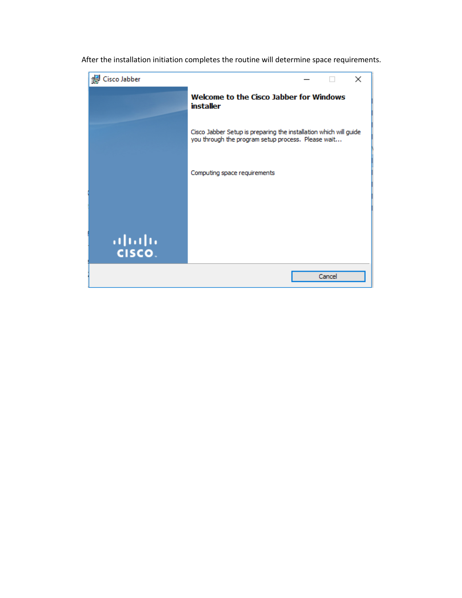

After the installation initiation completes the routine will determine space requirements.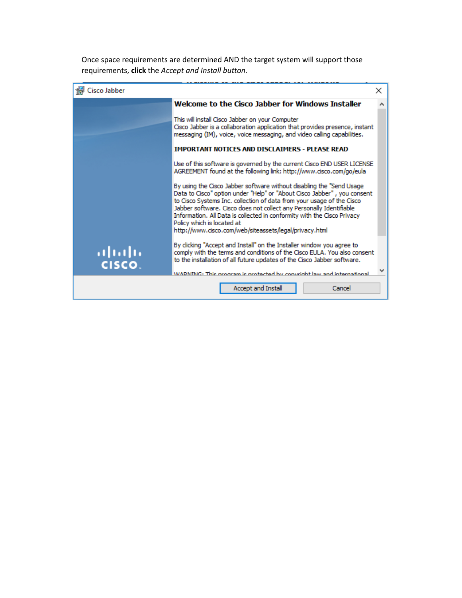Once space requirements are determined AND the target system will support those requirements, **click** the *Accept and Install button.*

| isco Jabber    |                                                                                                                                                                                                                                                                                                                                                                                                                                                                    | X |  |
|----------------|--------------------------------------------------------------------------------------------------------------------------------------------------------------------------------------------------------------------------------------------------------------------------------------------------------------------------------------------------------------------------------------------------------------------------------------------------------------------|---|--|
|                | Welcome to the Cisco Jabber for Windows Installer                                                                                                                                                                                                                                                                                                                                                                                                                  |   |  |
|                | This will install Cisco Jabber on your Computer<br>Cisco Jabber is a collaboration application that provides presence, instant<br>messaging (IM), voice, voice messaging, and video calling capabilities.                                                                                                                                                                                                                                                          |   |  |
|                | <b>IMPORTANT NOTICES AND DISCLAIMERS - PLEASE READ</b>                                                                                                                                                                                                                                                                                                                                                                                                             |   |  |
|                | Use of this software is governed by the current Cisco END USER LICENSE<br>AGREEMENT found at the following link: http://www.cisco.com/go/eula                                                                                                                                                                                                                                                                                                                      |   |  |
|                | By using the Cisco Jabber software without disabling the "Send Usage<br>Data to Cisco" option under "Help" or "About Cisco Jabber", you consent<br>to Cisco Systems Inc. collection of data from your usage of the Cisco<br>Jabber software. Cisco does not collect any Personally Identifiable<br>Information. All Data is collected in conformity with the Cisco Privacy<br>Policy which is located at<br>http://www.cisco.com/web/siteassets/legal/privacy.html |   |  |
| ժիժի<br>CISCO. | By clicking "Accept and Install" on the Installer window you agree to<br>comply with the terms and conditions of the Cisco EULA. You also consent<br>to the installation of all future updates of the Cisco Jabber software.<br>WADNING: This program is protected by convright law and international                                                                                                                                                              |   |  |
|                | Accept and Install<br>Cancel                                                                                                                                                                                                                                                                                                                                                                                                                                       |   |  |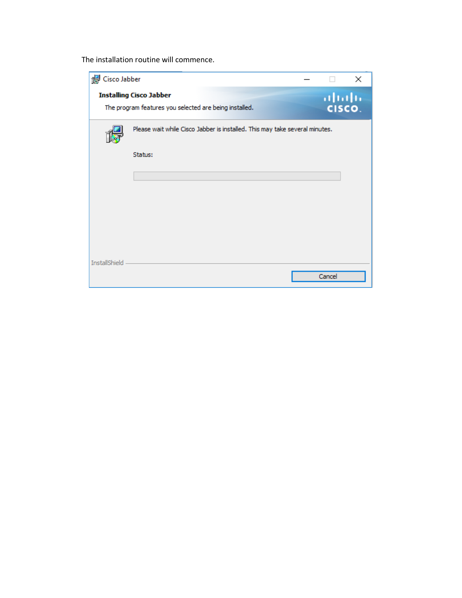The installation routine will commence.

| Cisco Jabber         |                                                                                          |        | $\times$ |
|----------------------|------------------------------------------------------------------------------------------|--------|----------|
|                      | <b>Installing Cisco Jabber</b><br>The program features you selected are being installed. | aludu  |          |
|                      | Please wait while Cisco Jabber is installed. This may take several minutes.              |        |          |
|                      | Status:                                                                                  |        |          |
|                      |                                                                                          |        |          |
|                      |                                                                                          |        |          |
|                      |                                                                                          |        |          |
| <b>InstallShield</b> |                                                                                          |        |          |
|                      |                                                                                          | Cancel |          |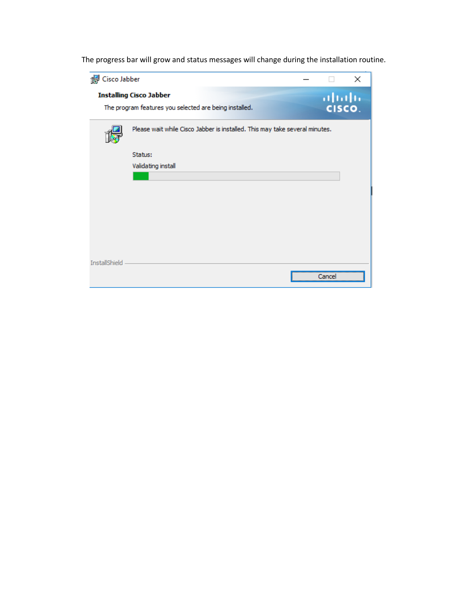The progress bar will grow and status messages will change during the installation routine.

| <b>H</b> Cisco Jabber |                                                                                          |        | ×      |
|-----------------------|------------------------------------------------------------------------------------------|--------|--------|
|                       | <b>Installing Cisco Jabber</b><br>The program features you selected are being installed. | ahah   | CISCO. |
|                       | Please wait while Cisco Jabber is installed. This may take several minutes.              |        |        |
|                       | Status:                                                                                  |        |        |
|                       | Validating install                                                                       |        |        |
|                       |                                                                                          |        |        |
|                       |                                                                                          |        |        |
|                       |                                                                                          |        |        |
|                       |                                                                                          |        |        |
|                       |                                                                                          |        |        |
|                       |                                                                                          |        |        |
|                       |                                                                                          |        |        |
| <b>InstallShield</b>  |                                                                                          |        |        |
|                       |                                                                                          | Cancel |        |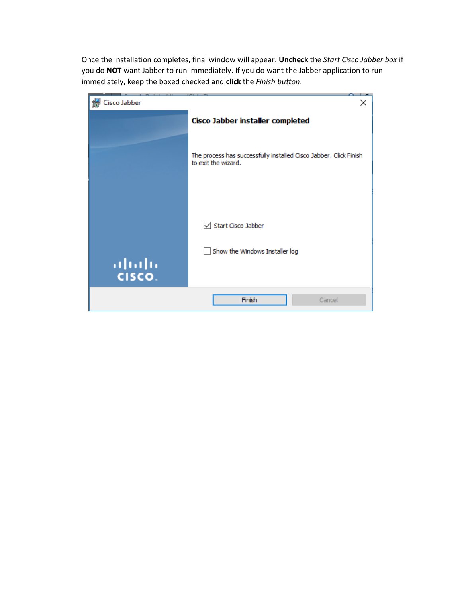Once the installation completes, final window will appear. **Uncheck** the *Start Cisco Jabber box* if you do **NOT** want Jabber to run immediately. If you do want the Jabber application to run immediately, keep the boxed checked and **click** the *Finish button*.

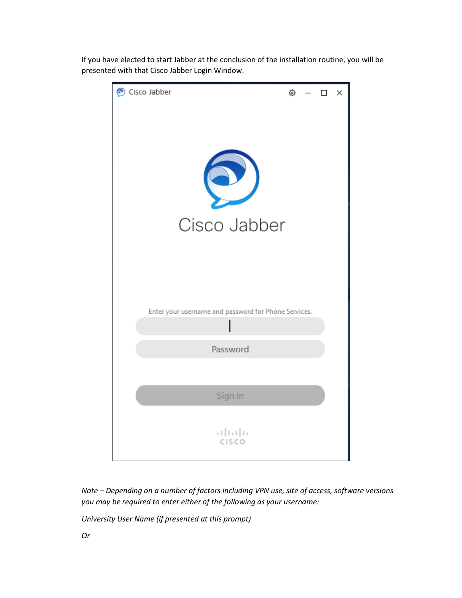

If you have elected to start Jabber at the conclusion of the installation routine, you will be presented with that Cisco Jabber Login Window.

*Note – Depending on a number of factors including VPN use, site of access, software versions you may be required to enter either of the following as your username:*

*University User Name (if presented at this prompt)*

*Or*